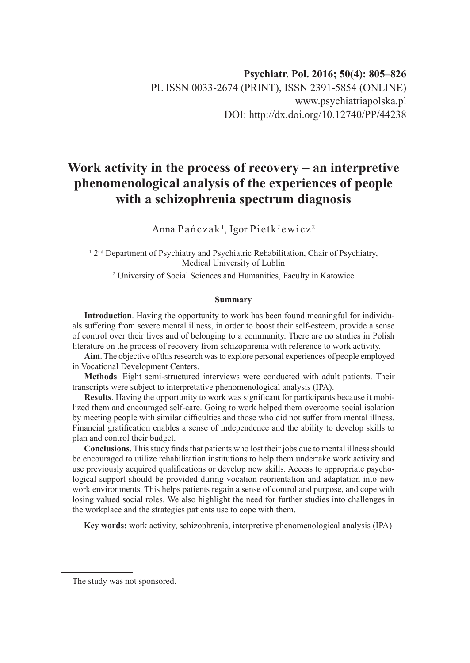# **Work activity in the process of recovery – an interpretive phenomenological analysis of the experiences of people with a schizophrenia spectrum diagnosis**

Anna Pańczak<sup>1</sup>, Igor Pietkiewicz<sup>2</sup>

<sup>1</sup> 2<sup>nd</sup> Department of Psychiatry and Psychiatric Rehabilitation, Chair of Psychiatry, Medical University of Lublin

2 University of Social Sciences and Humanities, Faculty in Katowice

#### **Summary**

**Introduction**. Having the opportunity to work has been found meaningful for individuals suffering from severe mental illness, in order to boost their self-esteem, provide a sense of control over their lives and of belonging to a community. There are no studies in Polish literature on the process of recovery from schizophrenia with reference to work activity.

**Aim**. The objective of this research was to explore personal experiences of people employed in Vocational Development Centers.

**Methods**. Eight semi-structured interviews were conducted with adult patients. Their transcripts were subject to interpretative phenomenological analysis (IPA).

**Results**. Having the opportunity to work was significant for participants because it mobilized them and encouraged self-care. Going to work helped them overcome social isolation by meeting people with similar difficulties and those who did not suffer from mental illness. Financial gratification enables a sense of independence and the ability to develop skills to plan and control their budget.

**Conclusions**. This study finds that patients who lost their jobs due to mental illness should be encouraged to utilize rehabilitation institutions to help them undertake work activity and use previously acquired qualifications or develop new skills. Access to appropriate psychological support should be provided during vocation reorientation and adaptation into new work environments. This helps patients regain a sense of control and purpose, and cope with losing valued social roles. We also highlight the need for further studies into challenges in the workplace and the strategies patients use to cope with them.

**Key words:** work activity, schizophrenia, interpretive phenomenological analysis (IPA)

The study was not sponsored.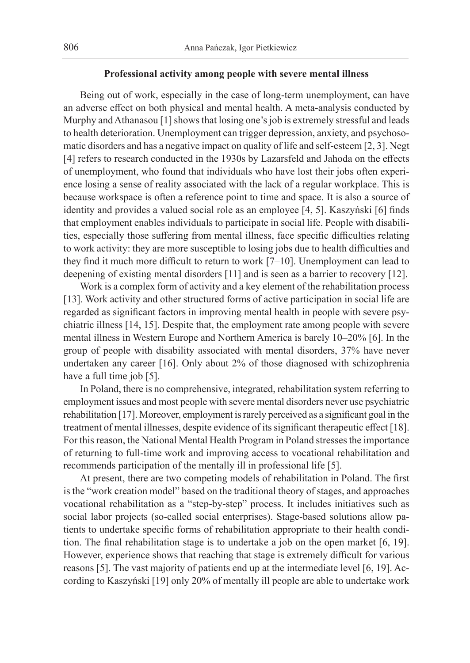## **Professional activity among people with severe mental illness**

Being out of work, especially in the case of long-term unemployment, can have an adverse effect on both physical and mental health. A meta-analysis conducted by Murphy and Athanasou [1] shows that losing one's job is extremely stressful and leads to health deterioration. Unemployment can trigger depression, anxiety, and psychosomatic disorders and has a negative impact on quality of life and self-esteem [2, 3]. Negt [4] refers to research conducted in the 1930s by Lazarsfeld and Jahoda on the effects of unemployment, who found that individuals who have lost their jobs often experience losing a sense of reality associated with the lack of a regular workplace. This is because workspace is often a reference point to time and space. It is also a source of identity and provides a valued social role as an employee [4, 5]. Kaszyński [6] finds that employment enables individuals to participate in social life. People with disabilities, especially those suffering from mental illness, face specific difficulties relating to work activity: they are more susceptible to losing jobs due to health difficulties and they find it much more difficult to return to work [7–10]. Unemployment can lead to deepening of existing mental disorders [11] and is seen as a barrier to recovery [12].

Work is a complex form of activity and a key element of the rehabilitation process [13]. Work activity and other structured forms of active participation in social life are regarded as significant factors in improving mental health in people with severe psychiatric illness [14, 15]. Despite that, the employment rate among people with severe mental illness in Western Europe and Northern America is barely 10–20% [6]. In the group of people with disability associated with mental disorders, 37% have never undertaken any career [16]. Only about 2% of those diagnosed with schizophrenia have a full time job [5].

In Poland, there is no comprehensive, integrated, rehabilitation system referring to employment issues and most people with severe mental disorders never use psychiatric rehabilitation [17]. Moreover, employment is rarely perceived as a significant goal in the treatment of mental illnesses, despite evidence of its significant therapeutic effect [18]. For this reason, the National Mental Health Program in Poland stresses the importance of returning to full-time work and improving access to vocational rehabilitation and recommends participation of the mentally ill in professional life [5].

At present, there are two competing models of rehabilitation in Poland. The first is the "work creation model" based on the traditional theory of stages, and approaches vocational rehabilitation as a "step-by-step" process. It includes initiatives such as social labor projects (so-called social enterprises). Stage-based solutions allow patients to undertake specific forms of rehabilitation appropriate to their health condition. The final rehabilitation stage is to undertake a job on the open market [6, 19]. However, experience shows that reaching that stage is extremely difficult for various reasons [5]. The vast majority of patients end up at the intermediate level [6, 19]. According to Kaszyński [19] only 20% of mentally ill people are able to undertake work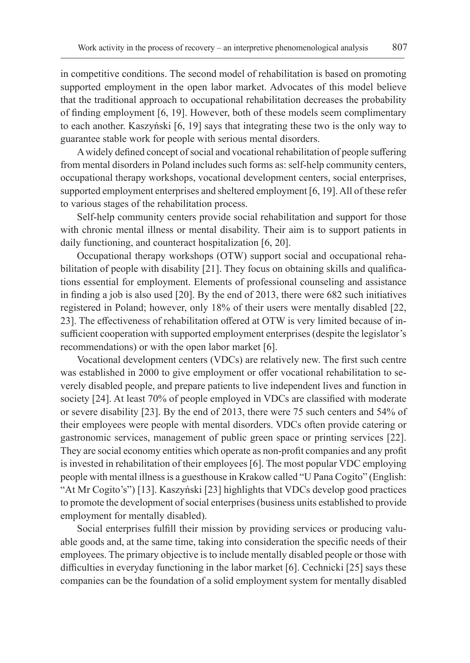in competitive conditions. The second model of rehabilitation is based on promoting supported employment in the open labor market. Advocates of this model believe that the traditional approach to occupational rehabilitation decreases the probability of finding employment [6, 19]. However, both of these models seem complimentary to each another. Kaszyński [6, 19] says that integrating these two is the only way to guarantee stable work for people with serious mental disorders.

A widely defined concept of social and vocational rehabilitation of people suffering from mental disorders in Poland includes such forms as: self-help community centers, occupational therapy workshops, vocational development centers, social enterprises, supported employment enterprises and sheltered employment [6, 19]. All of these refer to various stages of the rehabilitation process.

Self-help community centers provide social rehabilitation and support for those with chronic mental illness or mental disability. Their aim is to support patients in daily functioning, and counteract hospitalization [6, 20].

Occupational therapy workshops (OTW) support social and occupational rehabilitation of people with disability [21]. They focus on obtaining skills and qualifications essential for employment. Elements of professional counseling and assistance in finding a job is also used [20]. By the end of 2013, there were 682 such initiatives registered in Poland; however, only 18% of their users were mentally disabled [22, 23]. The effectiveness of rehabilitation offered at OTW is very limited because of insufficient cooperation with supported employment enterprises (despite the legislator's recommendations) or with the open labor market [6].

Vocational development centers (VDCs) are relatively new. The first such centre was established in 2000 to give employment or offer vocational rehabilitation to severely disabled people, and prepare patients to live independent lives and function in society [24]. At least 70% of people employed in VDCs are classified with moderate or severe disability [23]. By the end of 2013, there were 75 such centers and 54% of their employees were people with mental disorders. VDCs often provide catering or gastronomic services, management of public green space or printing services [22]. They are social economy entities which operate as non-profit companies and any profit is invested in rehabilitation of their employees [6]. The most popular VDC employing people with mental illness is a guesthouse in Krakow called "U Pana Cogito" (English: "At Mr Cogito's") [13]. Kaszyński [23] highlights that VDCs develop good practices to promote the development of social enterprises (business units established to provide employment for mentally disabled).

Social enterprises fulfill their mission by providing services or producing valuable goods and, at the same time, taking into consideration the specific needs of their employees. The primary objective is to include mentally disabled people or those with difficulties in everyday functioning in the labor market [6]. Cechnicki [25] says these companies can be the foundation of a solid employment system for mentally disabled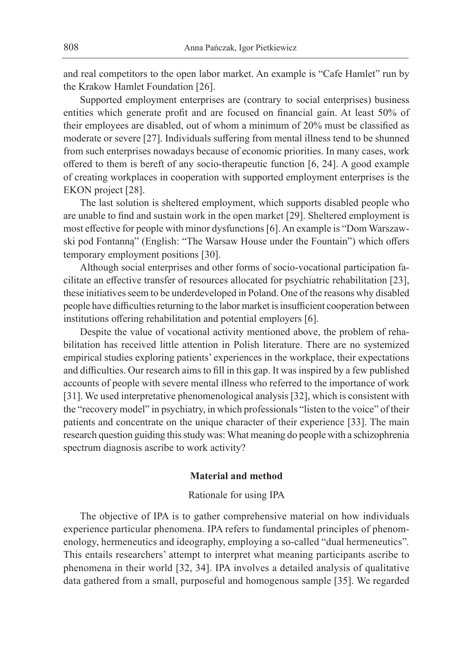and real competitors to the open labor market. An example is "Cafe Hamlet" run by the Krakow Hamlet Foundation [26].

Supported employment enterprises are (contrary to social enterprises) business entities which generate profit and are focused on financial gain. At least 50% of their employees are disabled, out of whom a minimum of 20% must be classified as moderate or severe [27]. Individuals suffering from mental illness tend to be shunned from such enterprises nowadays because of economic priorities. In many cases, work offered to them is bereft of any socio-therapeutic function [6, 24]. A good example of creating workplaces in cooperation with supported employment enterprises is the EKON project [28].

The last solution is sheltered employment, which supports disabled people who are unable to find and sustain work in the open market [29]. Sheltered employment is most effective for people with minor dysfunctions [6]. An example is "Dom Warszawski pod Fontanną" (English: "The Warsaw House under the Fountain") which offers temporary employment positions [30].

Although social enterprises and other forms of socio-vocational participation facilitate an effective transfer of resources allocated for psychiatric rehabilitation [23], these initiatives seem to be underdeveloped in Poland. One of the reasons why disabled people have difficulties returning to the labor market is insufficient cooperation between institutions offering rehabilitation and potential employers [6].

Despite the value of vocational activity mentioned above, the problem of rehabilitation has received little attention in Polish literature. There are no systemized empirical studies exploring patients' experiences in the workplace, their expectations and difficulties. Our research aims to fill in this gap. It was inspired by a few published accounts of people with severe mental illness who referred to the importance of work [31]. We used interpretative phenomenological analysis [32], which is consistent with the "recovery model" in psychiatry, in which professionals "listen to the voice" of their patients and concentrate on the unique character of their experience [33]. The main research question guiding this study was: What meaning do people with a schizophrenia spectrum diagnosis ascribe to work activity?

## **Material and method**

#### Rationale for using IPA

The objective of IPA is to gather comprehensive material on how individuals experience particular phenomena. IPA refers to fundamental principles of phenomenology, hermeneutics and ideography, employing a so-called "dual hermeneutics"*.*  This entails researchers' attempt to interpret what meaning participants ascribe to phenomena in their world [32, 34]. IPA involves a detailed analysis of qualitative data gathered from a small, purposeful and homogenous sample [35]. We regarded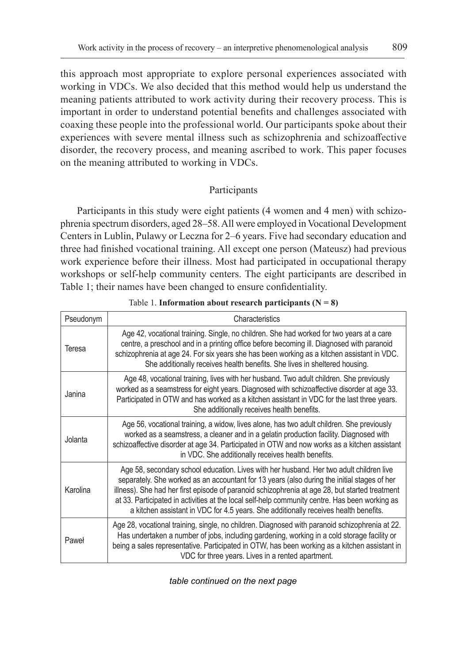this approach most appropriate to explore personal experiences associated with working in VDCs. We also decided that this method would help us understand the meaning patients attributed to work activity during their recovery process. This is important in order to understand potential benefits and challenges associated with coaxing these people into the professional world. Our participants spoke about their experiences with severe mental illness such as schizophrenia and schizoaffective disorder, the recovery process, and meaning ascribed to work. This paper focuses on the meaning attributed to working in VDCs.

# Participants

Participants in this study were eight patients (4 women and 4 men) with schizophrenia spectrum disorders, aged 28–58. All were employed in Vocational Development Centers in Lublin, Pulawy or Leczna for 2–6 years. Five had secondary education and three had finished vocational training. All except one person (Mateusz) had previous work experience before their illness. Most had participated in occupational therapy workshops or self-help community centers. The eight participants are described in Table 1; their names have been changed to ensure confidentiality.

| Pseudonym | Characteristics                                                                                                                                                                                                                                                                                                                                                                                                                                                                    |  |
|-----------|------------------------------------------------------------------------------------------------------------------------------------------------------------------------------------------------------------------------------------------------------------------------------------------------------------------------------------------------------------------------------------------------------------------------------------------------------------------------------------|--|
| Teresa    | Age 42, vocational training. Single, no children. She had worked for two years at a care<br>centre, a preschool and in a printing office before becoming ill. Diagnosed with paranoid<br>schizophrenia at age 24. For six years she has been working as a kitchen assistant in VDC.<br>She additionally receives health benefits. She lives in sheltered housing.                                                                                                                  |  |
| Janina    | Age 48, vocational training, lives with her husband. Two adult children. She previously<br>worked as a seamstress for eight years. Diagnosed with schizoaffective disorder at age 33.<br>Participated in OTW and has worked as a kitchen assistant in VDC for the last three years.<br>She additionally receives health benefits.                                                                                                                                                  |  |
| Jolanta   | Age 56, vocational training, a widow, lives alone, has two adult children. She previously<br>worked as a seamstress, a cleaner and in a gelatin production facility. Diagnosed with<br>schizoaffective disorder at age 34. Participated in OTW and now works as a kitchen assistant<br>in VDC. She additionally receives health benefits.                                                                                                                                          |  |
| Karolina  | Age 58, secondary school education. Lives with her husband. Her two adult children live<br>separately. She worked as an accountant for 13 years (also during the initial stages of her<br>illness). She had her first episode of paranoid schizophrenia at age 28, but started treatment<br>at 33. Participated in activities at the local self-help community centre. Has been working as<br>a kitchen assistant in VDC for 4.5 years. She additionally receives health benefits. |  |
| Paweł     | Age 28, vocational training, single, no children. Diagnosed with paranoid schizophrenia at 22.<br>Has undertaken a number of jobs, including gardening, working in a cold storage facility or<br>being a sales representative. Participated in OTW, has been working as a kitchen assistant in<br>VDC for three years. Lives in a rented apartment.                                                                                                                                |  |

Table 1. **Information about research participants (** $N = 8$ **)** 

*table continued on the next page*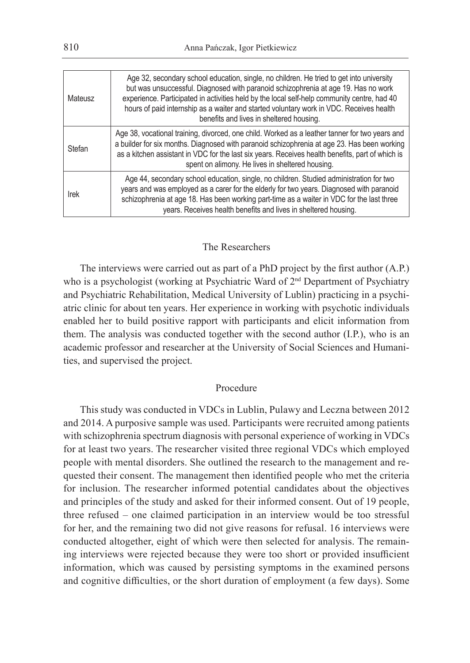| Mateusz | Age 32, secondary school education, single, no children. He tried to get into university<br>but was unsuccessful. Diagnosed with paranoid schizophrenia at age 19. Has no work<br>experience. Participated in activities held by the local self-help community centre, had 40<br>hours of paid internship as a waiter and started voluntary work in VDC. Receives health<br>benefits and lives in sheltered housing. |
|---------|----------------------------------------------------------------------------------------------------------------------------------------------------------------------------------------------------------------------------------------------------------------------------------------------------------------------------------------------------------------------------------------------------------------------|
| Stefan  | Age 38, vocational training, divorced, one child. Worked as a leather tanner for two years and<br>a builder for six months. Diagnosed with paranoid schizophrenia at age 23. Has been working<br>as a kitchen assistant in VDC for the last six years. Receives health benefits, part of which is<br>spent on alimony. He lives in sheltered housing.                                                                |
| Irek    | Age 44, secondary school education, single, no children. Studied administration for two<br>years and was employed as a carer for the elderly for two years. Diagnosed with paranoid<br>schizophrenia at age 18. Has been working part-time as a waiter in VDC for the last three<br>years. Receives health benefits and lives in sheltered housing.                                                                  |

#### The Researchers

The interviews were carried out as part of a PhD project by the first author (A.P.) who is a psychologist (working at Psychiatric Ward of  $2<sup>nd</sup>$  Department of Psychiatry and Psychiatric Rehabilitation, Medical University of Lublin) practicing in a psychiatric clinic for about ten years. Her experience in working with psychotic individuals enabled her to build positive rapport with participants and elicit information from them. The analysis was conducted together with the second author (I.P.), who is an academic professor and researcher at the University of Social Sciences and Humanities, and supervised the project.

## Procedure

This study was conducted in VDCs in Lublin, Pulawy and Leczna between 2012 and 2014. A purposive sample was used. Participants were recruited among patients with schizophrenia spectrum diagnosis with personal experience of working in VDCs for at least two years. The researcher visited three regional VDCs which employed people with mental disorders. She outlined the research to the management and requested their consent. The management then identified people who met the criteria for inclusion. The researcher informed potential candidates about the objectives and principles of the study and asked for their informed consent. Out of 19 people, three refused – one claimed participation in an interview would be too stressful for her, and the remaining two did not give reasons for refusal. 16 interviews were conducted altogether, eight of which were then selected for analysis. The remaining interviews were rejected because they were too short or provided insufficient information, which was caused by persisting symptoms in the examined persons and cognitive difficulties, or the short duration of employment (a few days). Some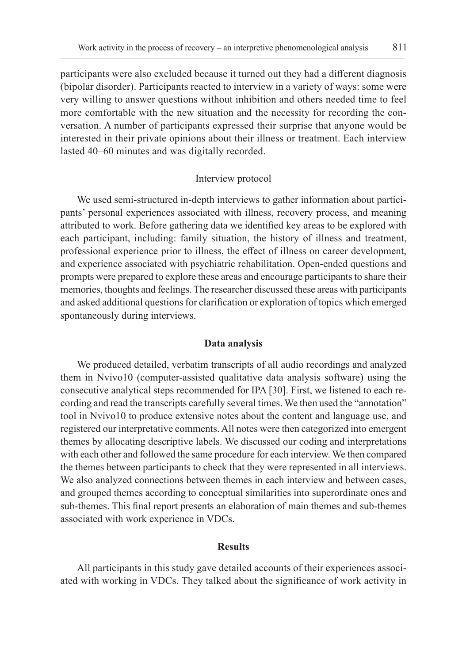participants were also excluded because it turned out they had a different diagnosis (bipolar disorder). Participants reacted to interview in a variety of ways: some were very willing to answer questions without inhibition and others needed time to feel more comfortable with the new situation and the necessity for recording the conversation. A number of participants expressed their surprise that anyone would be interested in their private opinions about their illness or treatment. Each interview lasted 40–60 minutes and was digitally recorded.

## Interview protocol

We used semi-structured in-depth interviews to gather information about participants' personal experiences associated with illness, recovery process, and meaning attributed to work. Before gathering data we identified key areas to be explored with each participant, including: family situation, the history of illness and treatment, professional experience prior to illness, the effect of illness on career development, and experience associated with psychiatric rehabilitation. Open-ended questions and prompts were prepared to explore these areas and encourage participants to share their memories, thoughts and feelings. The researcher discussed these areas with participants and asked additional questions for clarification or exploration of topics which emerged spontaneously during interviews.

## **Data analysis**

We produced detailed, verbatim transcripts of all audio recordings and analyzed them in Nvivo10 (computer-assisted qualitative data analysis software) using the consecutive analytical steps recommended for IPA [30]. First, we listened to each recording and read the transcripts carefully several times. We then used the "annotation" tool in Nvivo10 to produce extensive notes about the content and language use, and registered our interpretative comments. All notes were then categorized into emergent themes by allocating descriptive labels. We discussed our coding and interpretations with each other and followed the same procedure for each interview. We then compared the themes between participants to check that they were represented in all interviews. We also analyzed connections between themes in each interview and between cases, and grouped themes according to conceptual similarities into superordinate ones and sub-themes. This final report presents an elaboration of main themes and sub-themes associated with work experience in VDCs.

#### **Results**

All participants in this study gave detailed accounts of their experiences associated with working in VDCs. They talked about the significance of work activity in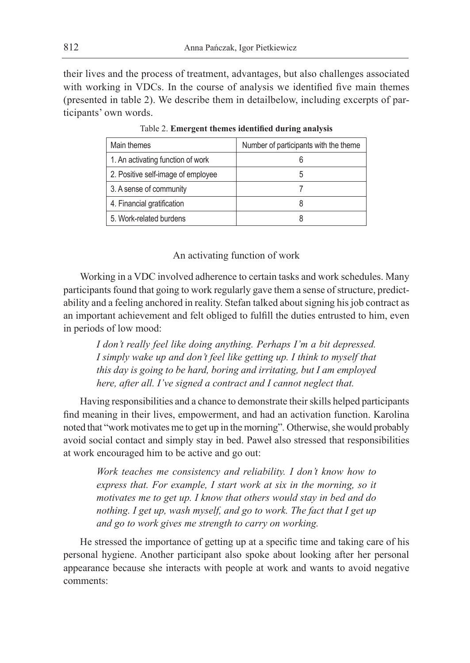their lives and the process of treatment, advantages, but also challenges associated with working in VDCs. In the course of analysis we identified five main themes (presented in table 2). We describe them in detailbelow, including excerpts of participants' own words.

| Main themes                        | Number of participants with the theme |
|------------------------------------|---------------------------------------|
| 1. An activating function of work  |                                       |
| 2. Positive self-image of employee | .5                                    |
| 3. A sense of community            |                                       |
| 4. Financial gratification         | 8                                     |
| 5. Work-related burdens            |                                       |

Table 2. **Emergent themes identified during analysis**

## An activating function of work

Working in a VDC involved adherence to certain tasks and work schedules. Many participants found that going to work regularly gave them a sense of structure, predictability and a feeling anchored in reality. Stefan talked about signing his job contract as an important achievement and felt obliged to fulfill the duties entrusted to him, even in periods of low mood:

*I don't really feel like doing anything. Perhaps I'm a bit depressed. I simply wake up and don't feel like getting up. I think to myself that this day is going to be hard, boring and irritating, but I am employed here, after all. I've signed a contract and I cannot neglect that.*

Having responsibilities and a chance to demonstrate their skills helped participants find meaning in their lives, empowerment, and had an activation function. Karolina noted that "work motivates me to get up in the morning"*.* Otherwise, she would probably avoid social contact and simply stay in bed. Paweł also stressed that responsibilities at work encouraged him to be active and go out:

*Work teaches me consistency and reliability. I don't know how to express that. For example, I start work at six in the morning, so it motivates me to get up. I know that others would stay in bed and do nothing. I get up, wash myself, and go to work. The fact that I get up and go to work gives me strength to carry on working.*

He stressed the importance of getting up at a specific time and taking care of his personal hygiene. Another participant also spoke about looking after her personal appearance because she interacts with people at work and wants to avoid negative comments: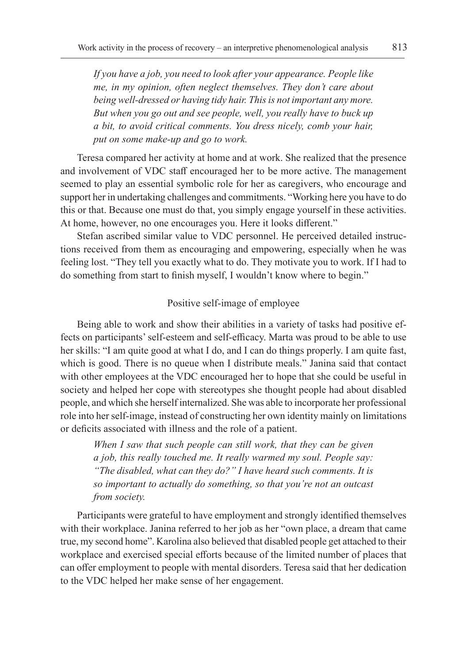*If you have a job, you need to look after your appearance. People like me, in my opinion, often neglect themselves. They don't care about being well-dressed or having tidy hair. This is not important any more. But when you go out and see people, well, you really have to buck up a bit, to avoid critical comments. You dress nicely, comb your hair, put on some make-up and go to work.*

Teresa compared her activity at home and at work. She realized that the presence and involvement of VDC staff encouraged her to be more active. The management seemed to play an essential symbolic role for her as caregivers, who encourage and support her in undertaking challenges and commitments. "Working here you have to do this or that. Because one must do that, you simply engage yourself in these activities. At home, however, no one encourages you. Here it looks different."

Stefan ascribed similar value to VDC personnel. He perceived detailed instructions received from them as encouraging and empowering, especially when he was feeling lost. "They tell you exactly what to do. They motivate you to work. If I had to do something from start to finish myself, I wouldn't know where to begin."

## Positive self-image of employee

Being able to work and show their abilities in a variety of tasks had positive effects on participants' self-esteem and self-efficacy. Marta was proud to be able to use her skills: "I am quite good at what I do, and I can do things properly. I am quite fast, which is good. There is no queue when I distribute meals." Janina said that contact with other employees at the VDC encouraged her to hope that she could be useful in society and helped her cope with stereotypes she thought people had about disabled people, and which she herself internalized. She was able to incorporate her professional role into her self-image, instead of constructing her own identity mainly on limitations or deficits associated with illness and the role of a patient.

*When I saw that such people can still work, that they can be given a job, this really touched me. It really warmed my soul. People say: "The disabled, what can they do?" I have heard such comments. It is so important to actually do something, so that you're not an outcast from society.*

Participants were grateful to have employment and strongly identified themselves with their workplace. Janina referred to her job as her "own place, a dream that came true, my second home". Karolina also believed that disabled people get attached to their workplace and exercised special efforts because of the limited number of places that can offer employment to people with mental disorders. Teresa said that her dedication to the VDC helped her make sense of her engagement.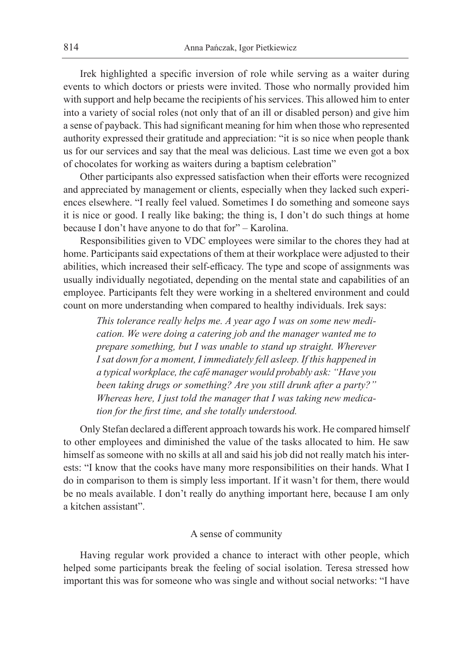Irek highlighted a specific inversion of role while serving as a waiter during events to which doctors or priests were invited. Those who normally provided him with support and help became the recipients of his services. This allowed him to enter into a variety of social roles (not only that of an ill or disabled person) and give him a sense of payback. This had significant meaning for him when those who represented authority expressed their gratitude and appreciation: "it is so nice when people thank us for our services and say that the meal was delicious. Last time we even got a box of chocolates for working as waiters during a baptism celebration"

Other participants also expressed satisfaction when their efforts were recognized and appreciated by management or clients, especially when they lacked such experiences elsewhere. "I really feel valued. Sometimes I do something and someone says it is nice or good. I really like baking; the thing is, I don't do such things at home because I don't have anyone to do that for" – Karolina.

Responsibilities given to VDC employees were similar to the chores they had at home. Participants said expectations of them at their workplace were adjusted to their abilities, which increased their self-efficacy. The type and scope of assignments was usually individually negotiated, depending on the mental state and capabilities of an employee. Participants felt they were working in a sheltered environment and could count on more understanding when compared to healthy individuals. Irek says:

*This tolerance really helps me. A year ago I was on some new medication. We were doing a catering job and the manager wanted me to prepare something, but I was unable to stand up straight. Wherever I sat down for a moment, I immediately fell asleep. If this happened in a typical workplace, the café manager would probably ask: "Have you been taking drugs or something? Are you still drunk after a party?" Whereas here, I just told the manager that I was taking new medication for the first time, and she totally understood.*

Only Stefan declared a different approach towards his work. He compared himself to other employees and diminished the value of the tasks allocated to him. He saw himself as someone with no skills at all and said his job did not really match his interests: "I know that the cooks have many more responsibilities on their hands. What I do in comparison to them is simply less important. If it wasn't for them, there would be no meals available. I don't really do anything important here, because I am only a kitchen assistant".

## A sense of community

Having regular work provided a chance to interact with other people, which helped some participants break the feeling of social isolation. Teresa stressed how important this was for someone who was single and without social networks: "I have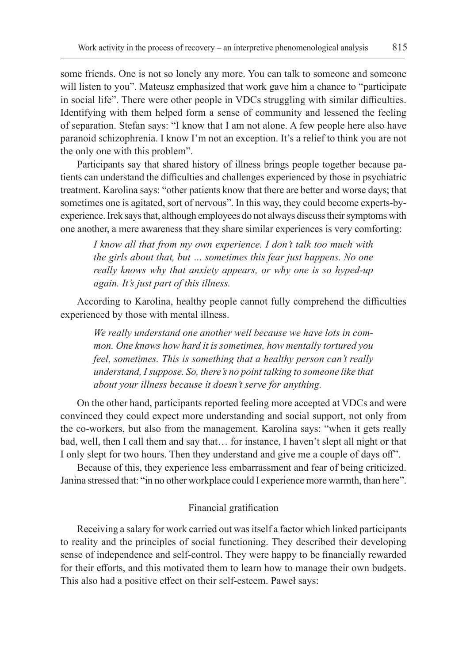some friends. One is not so lonely any more. You can talk to someone and someone will listen to you". Mateusz emphasized that work gave him a chance to "participate" in social life". There were other people in VDCs struggling with similar difficulties. Identifying with them helped form a sense of community and lessened the feeling of separation. Stefan says: "I know that I am not alone. A few people here also have paranoid schizophrenia. I know I'm not an exception. It's a relief to think you are not the only one with this problem".

Participants say that shared history of illness brings people together because patients can understand the difficulties and challenges experienced by those in psychiatric treatment. Karolina says: "other patients know that there are better and worse days; that sometimes one is agitated, sort of nervous". In this way, they could become experts-byexperience. Irek says that, although employees do not always discuss their symptoms with one another, a mere awareness that they share similar experiences is very comforting:

*I know all that from my own experience. I don't talk too much with the girls about that, but … sometimes this fear just happens. No one really knows why that anxiety appears, or why one is so hyped-up again. It's just part of this illness.*

According to Karolina, healthy people cannot fully comprehend the difficulties experienced by those with mental illness.

*We really understand one another well because we have lots in common. One knows how hard it is sometimes, how mentally tortured you feel, sometimes. This is something that a healthy person can't really understand, I suppose. So, there's no point talking to someone like that about your illness because it doesn't serve for anything.*

On the other hand, participants reported feeling more accepted at VDCs and were convinced they could expect more understanding and social support, not only from the co-workers, but also from the management. Karolina says: "when it gets really bad, well, then I call them and say that… for instance, I haven't slept all night or that I only slept for two hours. Then they understand and give me a couple of days off".

Because of this, they experience less embarrassment and fear of being criticized. Janina stressed that: "in no other workplace could I experience more warmth, than here".

## Financial gratification

Receiving a salary for work carried out was itself a factor which linked participants to reality and the principles of social functioning. They described their developing sense of independence and self-control. They were happy to be financially rewarded for their efforts, and this motivated them to learn how to manage their own budgets. This also had a positive effect on their self-esteem. Paweł says: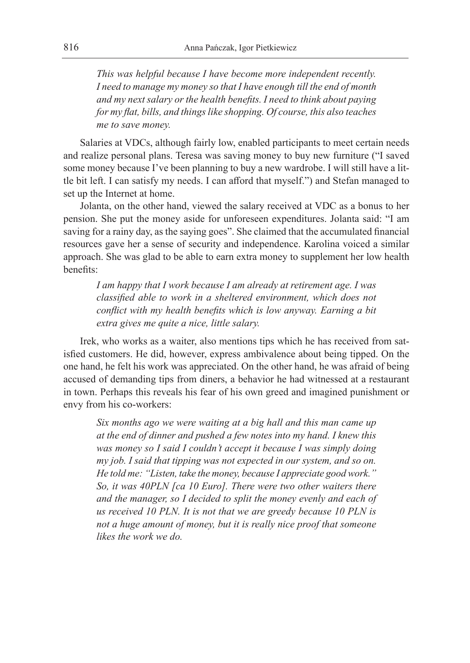*This was helpful because I have become more independent recently. I need to manage my money so that I have enough till the end of month and my next salary or the health benefits. I need to think about paying for my flat, bills, and things like shopping. Of course, this also teaches me to save money.*

Salaries at VDCs, although fairly low, enabled participants to meet certain needs and realize personal plans. Teresa was saving money to buy new furniture ("I saved some money because I've been planning to buy a new wardrobe. I will still have a little bit left. I can satisfy my needs. I can afford that myself.") and Stefan managed to set up the Internet at home.

Jolanta, on the other hand, viewed the salary received at VDC as a bonus to her pension. She put the money aside for unforeseen expenditures. Jolanta said: "I am saving for a rainy day, as the saying goes". She claimed that the accumulated financial resources gave her a sense of security and independence. Karolina voiced a similar approach. She was glad to be able to earn extra money to supplement her low health benefits:

*I am happy that I work because I am already at retirement age. I was classified able to work in a sheltered environment, which does not conflict with my health benefits which is low anyway. Earning a bit extra gives me quite a nice, little salary.*

Irek, who works as a waiter, also mentions tips which he has received from satisfied customers. He did, however, express ambivalence about being tipped. On the one hand, he felt his work was appreciated. On the other hand, he was afraid of being accused of demanding tips from diners, a behavior he had witnessed at a restaurant in town. Perhaps this reveals his fear of his own greed and imagined punishment or envy from his co-workers:

*Six months ago we were waiting at a big hall and this man came up at the end of dinner and pushed a few notes into my hand. I knew this was money so I said I couldn't accept it because I was simply doing my job. I said that tipping was not expected in our system, and so on. He told me: "Listen, take the money, because I appreciate good work." So, it was 40PLN [ca 10 Euro]. There were two other waiters there and the manager, so I decided to split the money evenly and each of us received 10 PLN. It is not that we are greedy because 10 PLN is not a huge amount of money, but it is really nice proof that someone likes the work we do.*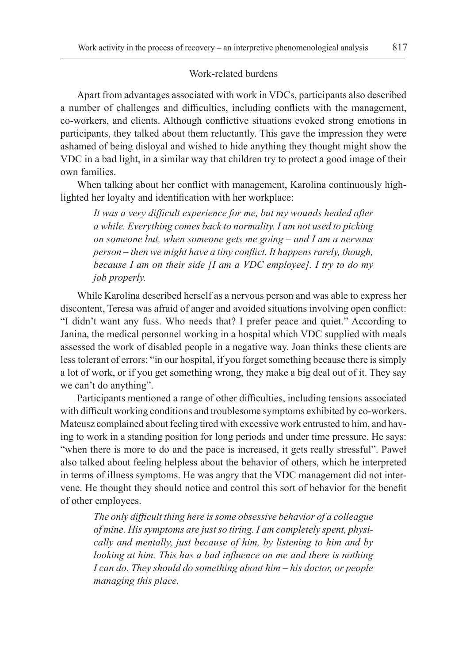#### Work-related burdens

Apart from advantages associated with work in VDCs, participants also described a number of challenges and difficulties, including conflicts with the management, co-workers, and clients. Although conflictive situations evoked strong emotions in participants, they talked about them reluctantly. This gave the impression they were ashamed of being disloyal and wished to hide anything they thought might show the VDC in a bad light, in a similar way that children try to protect a good image of their own families.

When talking about her conflict with management, Karolina continuously highlighted her loyalty and identification with her workplace:

*It was a very difficult experience for me, but my wounds healed after a while. Everything comes back to normality. I am not used to picking on someone but, when someone gets me going – and I am a nervous person – then we might have a tiny conflict. It happens rarely, though, because I am on their side [I am a VDC employee]. I try to do my job properly.*

While Karolina described herself as a nervous person and was able to express her discontent, Teresa was afraid of anger and avoided situations involving open conflict: "I didn't want any fuss. Who needs that? I prefer peace and quiet." According to Janina, the medical personnel working in a hospital which VDC supplied with meals assessed the work of disabled people in a negative way. Joan thinks these clients are less tolerant of errors: "in our hospital, if you forget something because there is simply a lot of work, or if you get something wrong, they make a big deal out of it. They say we can't do anything".

Participants mentioned a range of other difficulties, including tensions associated with difficult working conditions and troublesome symptoms exhibited by co-workers. Mateusz complained about feeling tired with excessive work entrusted to him, and having to work in a standing position for long periods and under time pressure. He says: "when there is more to do and the pace is increased, it gets really stressful". Paweł also talked about feeling helpless about the behavior of others, which he interpreted in terms of illness symptoms. He was angry that the VDC management did not intervene. He thought they should notice and control this sort of behavior for the benefit of other employees.

*The only difficult thing here is some obsessive behavior of a colleague of mine. His symptoms are just so tiring. I am completely spent, physically and mentally, just because of him, by listening to him and by looking at him. This has a bad influence on me and there is nothing I can do. They should do something about him – his doctor, or people managing this place.*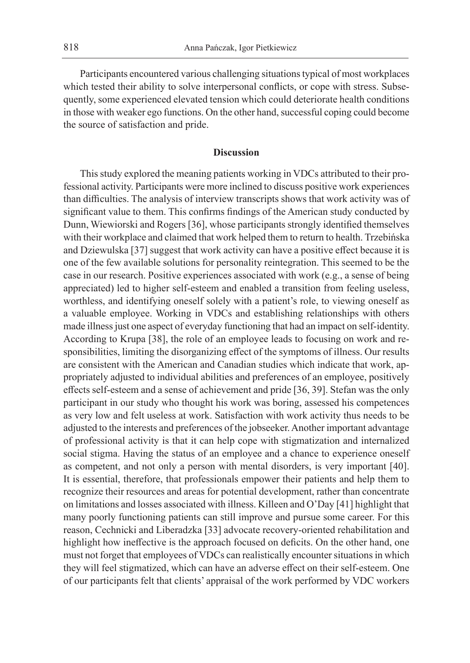Participants encountered various challenging situations typical of most workplaces which tested their ability to solve interpersonal conflicts, or cope with stress. Subsequently, some experienced elevated tension which could deteriorate health conditions in those with weaker ego functions. On the other hand, successful coping could become the source of satisfaction and pride.

#### **Discussion**

This study explored the meaning patients working in VDCs attributed to their professional activity. Participants were more inclined to discuss positive work experiences than difficulties. The analysis of interview transcripts shows that work activity was of significant value to them. This confirms findings of the American study conducted by Dunn, Wiewiorski and Rogers [36], whose participants strongly identified themselves with their workplace and claimed that work helped them to return to health. Trzebińska and Dziewulska [37] suggest that work activity can have a positive effect because it is one of the few available solutions for personality reintegration. This seemed to be the case in our research. Positive experiences associated with work (e.g., a sense of being appreciated) led to higher self-esteem and enabled a transition from feeling useless, worthless, and identifying oneself solely with a patient's role, to viewing oneself as a valuable employee. Working in VDCs and establishing relationships with others made illness just one aspect of everyday functioning that had an impact on self-identity. According to Krupa [38], the role of an employee leads to focusing on work and responsibilities, limiting the disorganizing effect of the symptoms of illness. Our results are consistent with the American and Canadian studies which indicate that work, appropriately adjusted to individual abilities and preferences of an employee, positively effects self-esteem and a sense of achievement and pride [36, 39]. Stefan was the only participant in our study who thought his work was boring, assessed his competences as very low and felt useless at work. Satisfaction with work activity thus needs to be adjusted to the interests and preferences of the jobseeker. Another important advantage of professional activity is that it can help cope with stigmatization and internalized social stigma. Having the status of an employee and a chance to experience oneself as competent, and not only a person with mental disorders, is very important [40]. It is essential, therefore, that professionals empower their patients and help them to recognize their resources and areas for potential development, rather than concentrate on limitations and losses associated with illness. Killeen and O'Day [41] highlight that many poorly functioning patients can still improve and pursue some career. For this reason, Cechnicki and Liberadzka [33] advocate recovery-oriented rehabilitation and highlight how ineffective is the approach focused on deficits. On the other hand, one must not forget that employees of VDCs can realistically encounter situations in which they will feel stigmatized, which can have an adverse effect on their self-esteem. One of our participants felt that clients' appraisal of the work performed by VDC workers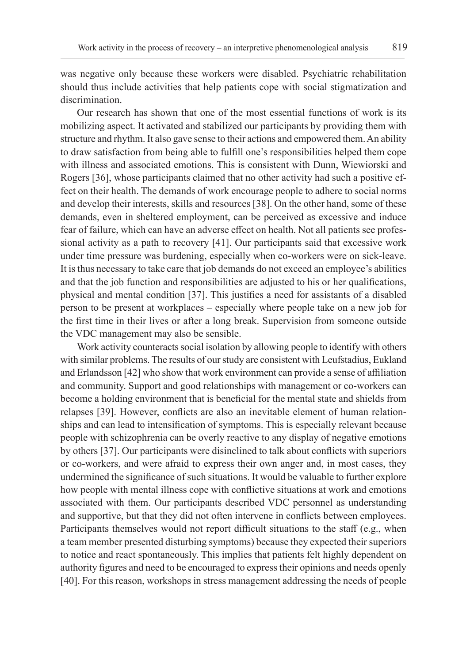was negative only because these workers were disabled. Psychiatric rehabilitation should thus include activities that help patients cope with social stigmatization and discrimination.

Our research has shown that one of the most essential functions of work is its mobilizing aspect. It activated and stabilized our participants by providing them with structure and rhythm. It also gave sense to their actions and empowered them. An ability to draw satisfaction from being able to fulfill one's responsibilities helped them cope with illness and associated emotions. This is consistent with Dunn, Wiewiorski and Rogers [36], whose participants claimed that no other activity had such a positive effect on their health. The demands of work encourage people to adhere to social norms and develop their interests, skills and resources [38]. On the other hand, some of these demands, even in sheltered employment, can be perceived as excessive and induce fear of failure, which can have an adverse effect on health. Not all patients see professional activity as a path to recovery [41]. Our participants said that excessive work under time pressure was burdening, especially when co-workers were on sick-leave. It is thus necessary to take care that job demands do not exceed an employee's abilities and that the job function and responsibilities are adjusted to his or her qualifications, physical and mental condition [37]. This justifies a need for assistants of a disabled person to be present at workplaces – especially where people take on a new job for the first time in their lives or after a long break. Supervision from someone outside the VDC management may also be sensible.

Work activity counteracts social isolation by allowing people to identify with others with similar problems. The results of our study are consistent with Leufstadius, Eukland and Erlandsson [42] who show that work environment can provide a sense of affiliation and community. Support and good relationships with management or co-workers can become a holding environment that is beneficial for the mental state and shields from relapses [39]. However, conflicts are also an inevitable element of human relationships and can lead to intensification of symptoms. This is especially relevant because people with schizophrenia can be overly reactive to any display of negative emotions by others [37]. Our participants were disinclined to talk about conflicts with superiors or co-workers, and were afraid to express their own anger and, in most cases, they undermined the significance of such situations. It would be valuable to further explore how people with mental illness cope with conflictive situations at work and emotions associated with them. Our participants described VDC personnel as understanding and supportive, but that they did not often intervene in conflicts between employees. Participants themselves would not report difficult situations to the staff (e.g., when a team member presented disturbing symptoms) because they expected their superiors to notice and react spontaneously. This implies that patients felt highly dependent on authority figures and need to be encouraged to express their opinions and needs openly [40]. For this reason, workshops in stress management addressing the needs of people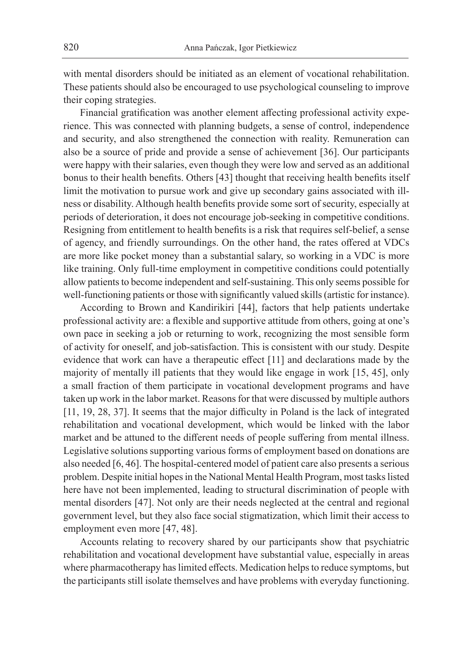with mental disorders should be initiated as an element of vocational rehabilitation. These patients should also be encouraged to use psychological counseling to improve their coping strategies.

Financial gratification was another element affecting professional activity experience. This was connected with planning budgets, a sense of control, independence and security, and also strengthened the connection with reality. Remuneration can also be a source of pride and provide a sense of achievement [36]. Our participants were happy with their salaries, even though they were low and served as an additional bonus to their health benefits. Others [43] thought that receiving health benefits itself limit the motivation to pursue work and give up secondary gains associated with illness or disability. Although health benefits provide some sort of security, especially at periods of deterioration, it does not encourage job-seeking in competitive conditions. Resigning from entitlement to health benefits is a risk that requires self-belief, a sense of agency, and friendly surroundings. On the other hand, the rates offered at VDCs are more like pocket money than a substantial salary, so working in a VDC is more like training. Only full-time employment in competitive conditions could potentially allow patients to become independent and self-sustaining. This only seems possible for well-functioning patients or those with significantly valued skills (artistic for instance).

According to Brown and Kandirikiri [44], factors that help patients undertake professional activity are: a flexible and supportive attitude from others, going at one's own pace in seeking a job or returning to work, recognizing the most sensible form of activity for oneself, and job-satisfaction. This is consistent with our study. Despite evidence that work can have a therapeutic effect [11] and declarations made by the majority of mentally ill patients that they would like engage in work [15, 45], only a small fraction of them participate in vocational development programs and have taken up work in the labor market. Reasons for that were discussed by multiple authors [11, 19, 28, 37]. It seems that the major difficulty in Poland is the lack of integrated rehabilitation and vocational development, which would be linked with the labor market and be attuned to the different needs of people suffering from mental illness. Legislative solutions supporting various forms of employment based on donations are also needed [6, 46]. The hospital-centered model of patient care also presents a serious problem. Despite initial hopes in the National Mental Health Program, most tasks listed here have not been implemented, leading to structural discrimination of people with mental disorders [47]. Not only are their needs neglected at the central and regional government level, but they also face social stigmatization, which limit their access to employment even more [47, 48].

Accounts relating to recovery shared by our participants show that psychiatric rehabilitation and vocational development have substantial value, especially in areas where pharmacotherapy has limited effects. Medication helps to reduce symptoms, but the participants still isolate themselves and have problems with everyday functioning.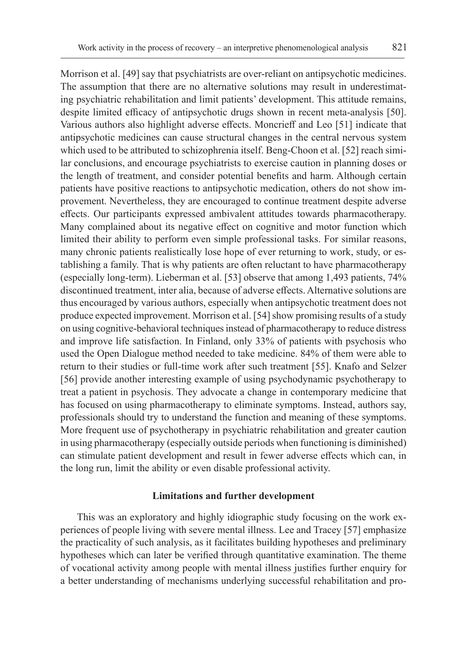Morrison et al. [49] say that psychiatrists are over-reliant on antipsychotic medicines. The assumption that there are no alternative solutions may result in underestimating psychiatric rehabilitation and limit patients' development. This attitude remains, despite limited efficacy of antipsychotic drugs shown in recent meta-analysis [50]. Various authors also highlight adverse effects. Moncrieff and Leo [51] indicate that antipsychotic medicines can cause structural changes in the central nervous system which used to be attributed to schizophrenia itself. Beng-Choon et al. [52] reach similar conclusions, and encourage psychiatrists to exercise caution in planning doses or the length of treatment, and consider potential benefits and harm. Although certain patients have positive reactions to antipsychotic medication, others do not show improvement. Nevertheless, they are encouraged to continue treatment despite adverse effects. Our participants expressed ambivalent attitudes towards pharmacotherapy. Many complained about its negative effect on cognitive and motor function which limited their ability to perform even simple professional tasks. For similar reasons, many chronic patients realistically lose hope of ever returning to work, study, or establishing a family. That is why patients are often reluctant to have pharmacotherapy (especially long-term). Lieberman et al. [53] observe that among 1,493 patients, 74% discontinued treatment, inter alia, because of adverse effects. Alternative solutions are thus encouraged by various authors, especially when antipsychotic treatment does not produce expected improvement. Morrison et al. [54] show promising results of a study on using cognitive-behavioral techniques instead of pharmacotherapy to reduce distress and improve life satisfaction. In Finland, only 33% of patients with psychosis who used the Open Dialogue method needed to take medicine. 84% of them were able to return to their studies or full-time work after such treatment [55]. Knafo and Selzer [56] provide another interesting example of using psychodynamic psychotherapy to treat a patient in psychosis. They advocate a change in contemporary medicine that has focused on using pharmacotherapy to eliminate symptoms. Instead, authors say, professionals should try to understand the function and meaning of these symptoms. More frequent use of psychotherapy in psychiatric rehabilitation and greater caution in using pharmacotherapy (especially outside periods when functioning is diminished) can stimulate patient development and result in fewer adverse effects which can, in the long run, limit the ability or even disable professional activity.

## **Limitations and further development**

This was an exploratory and highly idiographic study focusing on the work experiences of people living with severe mental illness. Lee and Tracey [57] emphasize the practicality of such analysis, as it facilitates building hypotheses and preliminary hypotheses which can later be verified through quantitative examination. The theme of vocational activity among people with mental illness justifies further enquiry for a better understanding of mechanisms underlying successful rehabilitation and pro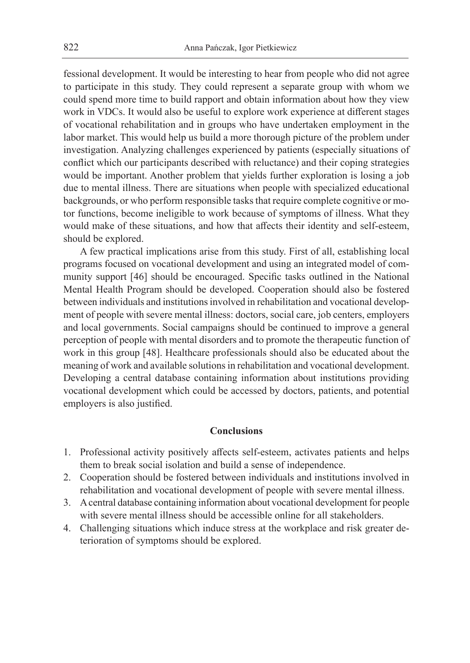fessional development. It would be interesting to hear from people who did not agree to participate in this study. They could represent a separate group with whom we could spend more time to build rapport and obtain information about how they view work in VDCs. It would also be useful to explore work experience at different stages of vocational rehabilitation and in groups who have undertaken employment in the labor market. This would help us build a more thorough picture of the problem under investigation. Analyzing challenges experienced by patients (especially situations of conflict which our participants described with reluctance) and their coping strategies would be important. Another problem that yields further exploration is losing a job due to mental illness. There are situations when people with specialized educational backgrounds, or who perform responsible tasks that require complete cognitive or motor functions, become ineligible to work because of symptoms of illness. What they would make of these situations, and how that affects their identity and self-esteem, should be explored.

A few practical implications arise from this study. First of all, establishing local programs focused on vocational development and using an integrated model of community support [46] should be encouraged. Specific tasks outlined in the National Mental Health Program should be developed. Cooperation should also be fostered between individuals and institutions involved in rehabilitation and vocational development of people with severe mental illness: doctors, social care, job centers, employers and local governments. Social campaigns should be continued to improve a general perception of people with mental disorders and to promote the therapeutic function of work in this group [48]. Healthcare professionals should also be educated about the meaning of work and available solutions in rehabilitation and vocational development. Developing a central database containing information about institutions providing vocational development which could be accessed by doctors, patients, and potential employers is also justified.

### **Conclusions**

- 1. Professional activity positively affects self-esteem, activates patients and helps them to break social isolation and build a sense of independence.
- 2. Cooperation should be fostered between individuals and institutions involved in rehabilitation and vocational development of people with severe mental illness.
- 3. A central database containing information about vocational development for people with severe mental illness should be accessible online for all stakeholders.
- 4. Challenging situations which induce stress at the workplace and risk greater deterioration of symptoms should be explored.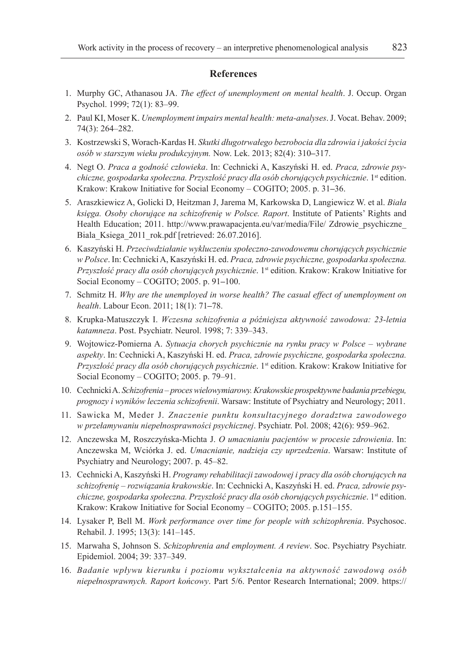#### **References**

- 1. Murphy GC, Athanasou JA. *The effect of unemployment on mental health*. J. Occup. Organ Psychol. 1999; 72(1): 83–99.
- 2. Paul KI, Moser K. *Unemployment impairs mental health: meta-analyses*. J. Vocat. Behav. 2009; 74(3): 264–282.
- 3. Kostrzewski S, Worach-Kardas H. *Skutki długotrwałego bezrobocia dla zdrowia i jakości życia osób w starszym wieku produkcyjnym.* Now. Lek. 2013; 82(4): 310**–**317.
- 4. Negt O. *Praca a godność człowieka*. In: Cechnicki A, Kaszyński H. ed. *Praca, zdrowie psychiczne, gospodarka społeczna. Przyszłość pracy dla osób chorujących psychicznie*. 1st edition. Krakow: Krakow Initiative for Social Economy – COGITO; 2005. p. 31**–**36.
- 5. Araszkiewicz A, Golicki D, Heitzman J, Jarema M, Karkowska D, Langiewicz W. et al. *Biała księga. Osoby chorujące na schizofrenię w Polsce. Raport*. Institute of Patients' Rights and Health Education; 2011. http://www.prawapacjenta.eu/var/media/File/ Zdrowie psychiczne Biala Ksiega 2011 rok.pdf [retrieved: 26.07.2016].
- 6. Kaszyński H. *Przeciwdziałanie wykluczeniu społeczno-zawodowemu chorujących psychicznie w Polsce*. In: Cechnicki A, Kaszyński H. ed. *Praca, zdrowie psychiczne, gospodarka społeczna. Przyszłość pracy dla osób chorujących psychicznie*. 1st edition. Krakow: Krakow Initiative for Social Economy – COGITO; 2005. p. 91**–**100.
- 7. Schmitz H. *Why are the unemployed in worse health? The casual effect of unemployment on health*. Labour Econ. 2011; 18(1): 71**–**78.
- 8. Krupka-Matuszczyk I. *Wczesna schizofrenia a późniejsza aktywność zawodowa: 23-letnia katamneza*. Post. Psychiatr. Neurol. 1998; 7: 339–343.
- 9. Wojtowicz-Pomierna A. *Sytuacja chorych psychicznie na rynku pracy w Polsce wybrane aspekty*. In: Cechnicki A, Kaszyński H. ed. *Praca, zdrowie psychiczne, gospodarka społeczna. Przyszłość pracy dla osób chorujących psychicznie*. 1st edition. Krakow: Krakow Initiative for Social Economy – COGITO; 2005. p. 79–91.
- 10. Cechnicki A. *Schizofrenia proces wielowymiarowy. Krakowskie prospektywne badania przebiegu, prognozy i wyników leczenia schizofrenii*. Warsaw: Institute of Psychiatry and Neurology; 2011.
- 11. Sawicka M, Meder J. *Znaczenie punktu konsultacyjnego doradztwa zawodowego w przełamywaniu niepełnosprawności psychicznej*. Psychiatr. Pol. 2008; 42(6): 959–962.
- 12. Anczewska M, Roszczyńska-Michta J. *O umacnianiu pacjentów w procesie zdrowienia*. In: Anczewska M, Wciórka J. ed. *Umacnianie, nadzieja czy uprzedzenia*. Warsaw: Institute of Psychiatry and Neurology; 2007. p. 45–82.
- 13. Cechnicki A, Kaszyński H. *Programy rehabilitacji zawodowej i pracy dla osób chorujących na schizofrenię – rozwiązania krakowskie*. In: Cechnicki A, Kaszyński H. ed. *Praca, zdrowie psychiczne, gospodarka społeczna. Przyszłość pracy dla osób chorujących psychicznie*. 1st edition. Krakow: Krakow Initiative for Social Economy – COGITO; 2005. p.151–155.
- 14. Lysaker P, Bell M. *Work performance over time for people with schizophrenia*. Psychosoc. Rehabil. J. 1995; 13(3): 141–145.
- 15. Marwaha S, Johnson S. *Schizophrenia and employment. A review*. Soc. Psychiatry Psychiatr. Epidemiol. 2004; 39: 337–349.
- 16. *Badanie wpływu kierunku i poziomu wykształcenia na aktywność zawodową osób niepełnosprawnych. Raport końcowy*. Part 5/6. Pentor Research International; 2009. https://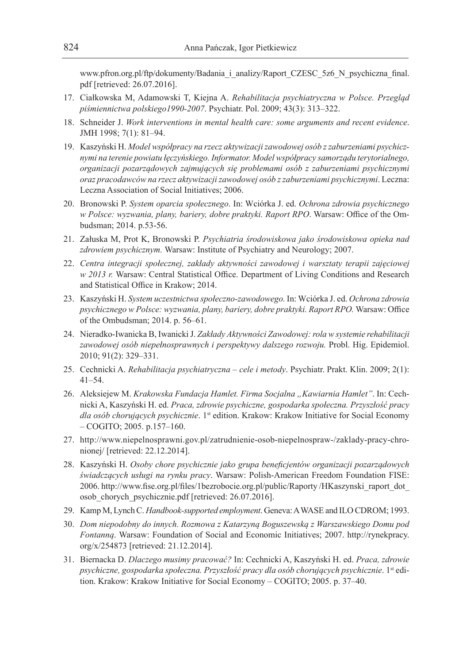www.pfron.org.pl/ftp/dokumenty/Badania\_i\_analizy/Raport\_CZESC\_5z6\_N\_psychiczna\_final. pdf [retrieved: 26.07.2016].

- 17. Ciałkowska M, Adamowski T, Kiejna A. *Rehabilitacja psychiatryczna w Polsce. Przegląd piśmiennictwa polskiego1990-2007*. Psychiatr. Pol. 2009; 43(3): 313–322.
- 18. Schneider J. *Work interventions in mental health care: some arguments and recent evidence*. JMH 1998; 7(1): 81–94.
- 19. Kaszyński H. *Model współpracy na rzecz aktywizacji zawodowej osób z zaburzeniami psychicznymi na terenie powiatu łęczyńskiego. Informator. Model współpracy samorządu terytorialnego, organizacji pozarządowych zajmujących się problemami osób z zaburzeniami psychicznymi oraz pracodawców na rzecz aktywizacji zawodowej osób z zaburzeniami psychicznymi*. Leczna: Leczna Association of Social Initiatives; 2006.
- 20. Bronowski P. *System oparcia społecznego*. In: Wciórka J. ed. *Ochrona zdrowia psychicznego w Polsce: wyzwania, plany, bariery, dobre praktyki. Raport RPO*. Warsaw: Office of the Ombudsman; 2014. p.53-56.
- 21. Załuska M, Prot K, Bronowski P. *Psychiatria środowiskowa jako środowiskowa opieka nad zdrowiem psychicznym.* Warsaw: Institute of Psychiatry and Neurology; 2007.
- 22. *Centra integracji społecznej, zakłady aktywności zawodowej i warsztaty terapii zajęciowej w 2013 r.* Warsaw: Central Statistical Office. Department of Living Conditions and Research and Statistical Office in Krakow; 2014.
- 23. Kaszyński H. *System uczestnictwa społeczno-zawodowego.* In: Wciórka J. ed. *Ochrona zdrowia psychicznego w Polsce: wyzwania, plany, bariery, dobre praktyki. Raport RPO.* Warsaw: Office of the Ombudsman; 2014. p. 56–61.
- 24. Nieradko-Iwanicka B, Iwanicki J. *Zakłady Aktywności Zawodowej: rola w systemie rehabilitacji*  zawodowej osób niepełnosprawnych i perspektywy dalszego rozwoju. Probl. Hig. Epidemiol. 2010; 91(2): 329–331.
- 25. Cechnicki A. *Rehabilitacja psychiatryczna cele i metody*. Psychiatr. Prakt. Klin. 2009; 2(1): 41–54.
- 26. Aleksiejew M. *Krakowska Fundacja Hamlet. Firma Socjalna "Kawiarnia Hamlet"*. In: Cechnicki A, Kaszyński H. ed. *Praca, zdrowie psychiczne, gospodarka społeczna. Przyszłość pracy dla osób chorujących psychicznie*. 1st edition. Krakow: Krakow Initiative for Social Economy – COGITO; 2005. p.157–160.
- 27. http://www.niepelnosprawni.gov.pl/zatrudnienie-osob-niepelnospraw-/zaklady-pracy-chronionej/ [retrieved: 22.12.2014].
- 28. Kaszyński H. *Osoby chore psychicznie jako grupa beneficjentów organizacji pozarządowych świadczących usługi na rynku pracy*. Warsaw: Polish-American Freedom Foundation FISE: 2006. http://www.fise.org.pl/files/1bezrobocie.org.pl/public/Raporty /HKaszynski\_raport\_dot\_ osob\_chorych\_psychicznie.pdf [retrieved: 26.07.2016].
- 29. Kamp M, Lynch C. *Handbook-supported employment*. Geneva: A WASE and ILO CDROM; 1993.
- 30. *Dom niepodobny do innych. Rozmowa z Katarzyną Boguszewską z Warszawskiego Domu pod Fontanną*. Warsaw: Foundation of Social and Economic Initiatives; 2007. http://rynekpracy. org/x/254873 [retrieved: 21.12.2014].
- 31. Biernacka D. *Dlaczego musimy pracować?* In: Cechnicki A, Kaszyński H. ed. *Praca, zdrowie psychiczne, gospodarka społeczna. Przyszłość pracy dla osób chorujących psychicznie*. 1st edition. Krakow: Krakow Initiative for Social Economy – COGITO; 2005. p. 37–40.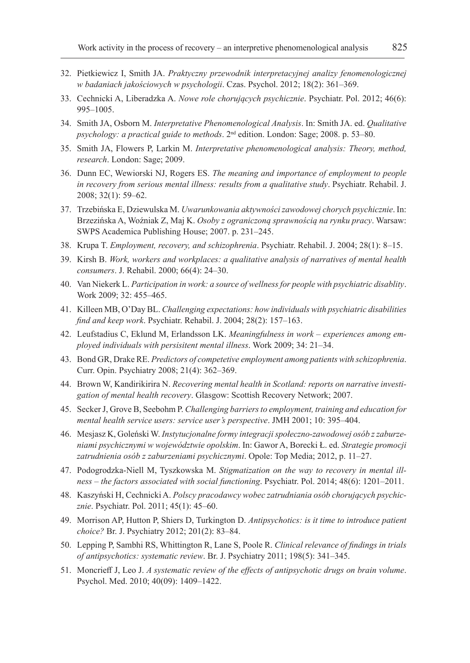- 32. Pietkiewicz I, Smith JA. *Praktyczny przewodnik interpretacyjnej analizy fenomenologicznej w badaniach jakościowych w psychologii*. Czas. Psychol. 2012; 18(2): 361–369.
- 33. Cechnicki A, Liberadzka A. *Nowe role chorujących psychicznie*. Psychiatr. Pol. 2012; 46(6): 995–1005.
- 34. Smith JA, Osborn M. *Interpretative Phenomenological Analysis*. In: Smith JA. ed. *Qualitative psychology: a practical guide to methods*. 2nd edition. London: Sage; 2008. p. 53–80.
- 35. Smith JA, Flowers P, Larkin M. *Interpretative phenomenological analysis: Theory, method, research*. London: Sage; 2009.
- 36. Dunn EC, Wewiorski NJ, Rogers ES. *The meaning and importance of employment to people in recovery from serious mental illness: results from a qualitative study*. Psychiatr. Rehabil. J. 2008; 32(1): 59–62.
- 37. Trzebińska E, Dziewulska M. *Uwarunkowania aktywności zawodowej chorych psychicznie*. In: Brzezińska A, Woźniak Z, Maj K. *Osoby z ograniczoną sprawnością na rynku pracy*. Warsaw: SWPS Academica Publishing House; 2007. p. 231–245.
- 38. Krupa T. *Employment, recovery, and schizophrenia*. Psychiatr. Rehabil. J. 2004; 28(1): 8–15.
- 39. Kirsh B. *Work, workers and workplaces: a qualitative analysis of narratives of mental health consumers*. J. Rehabil. 2000; 66(4): 24–30.
- 40. Van Niekerk L. *Participation in work: a source of wellness for people with psychiatric disablity*. Work 2009; 32: 455–465.
- 41. Killeen MB, O'Day BL. *Challenging expectations: how individuals with psychiatric disabilities find and keep work*. Psychiatr. Rehabil. J. 2004; 28(2): 157–163.
- 42. Leufstadius C, Eklund M, Erlandsson LK. *Meaningfulness in work experiences among employed individuals with persisitent mental illness*. Work 2009; 34: 21–34.
- 43. Bond GR, Drake RE. *Predictors of competetive employment among patients with schizophrenia*. Curr. Opin. Psychiatry 2008; 21(4): 362–369.
- 44. Brown W, Kandirikirira N. *Recovering mental health in Scotland: reports on narrative investigation of mental health recovery*. Glasgow: Scottish Recovery Network; 2007.
- 45. Secker J, Grove B, Seebohm P. *Challenging barriers to employment, training and education for mental health service users: service user's perspective*. JMH 2001; 10: 395–404.
- 46. Mesjasz K, Goleński W. *Instytucjonalne formy integracji społeczno-zawodowej osób z zaburzeniami psychicznymi w województwie opolskim*. In: Gawor A, Borecki Ł. ed. *Strategie promocji zatrudnienia osób z zaburzeniami psychicznymi*. Opole: Top Media; 2012, p. 11–27.
- 47. Podogrodzka-Niell M, Tyszkowska M. *Stigmatization on the way to recovery in mental illness – the factors associated with social functioning*. Psychiatr. Pol. 2014; 48(6): 1201–2011.
- 48. Kaszyński H, Cechnicki A. *Polscy pracodawcy wobec zatrudniania osób chorujących psychic*znie. Psychiatr. Pol. 2011; 45(1): 45-60.
- 49. Morrison AP, Hutton P, Shiers D, Turkington D. *Antipsychotics: is it time to introduce patient choice?* Br. J. Psychiatry 2012; 201(2): 83–84.
- 50. Lepping P, Sambhi RS, Whittington R, Lane S, Poole R. *Clinical relevance of findings in trials of antipsychotics: systematic review*. Br. J. Psychiatry 2011; 198(5): 341–345.
- 51. Moncrieff J, Leo J. *A systematic review of the effects of antipsychotic drugs on brain volume*. Psychol. Med. 2010; 40(09): 1409–1422.